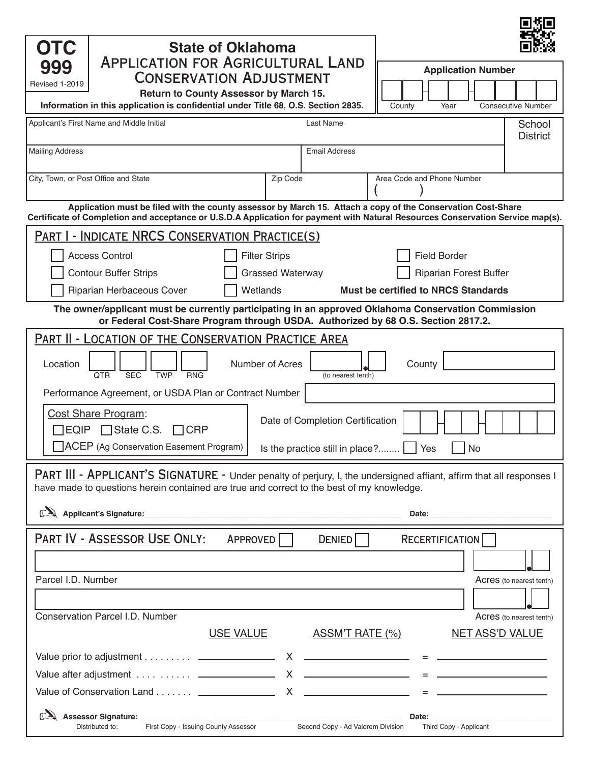| <b>OTC</b><br><b>State of Oklahoma</b>                                                                                                                                                                                                                                                                                                                                                                                                                     |                           |
|------------------------------------------------------------------------------------------------------------------------------------------------------------------------------------------------------------------------------------------------------------------------------------------------------------------------------------------------------------------------------------------------------------------------------------------------------------|---------------------------|
| <b>APPLICATION FOR AGRICULTURAL LAND</b><br>999<br><b>Application Number</b>                                                                                                                                                                                                                                                                                                                                                                               |                           |
| <b>CONSERVATION ADJUSTMENT</b><br>Revised 1-2019<br>Return to County Assessor by March 15.                                                                                                                                                                                                                                                                                                                                                                 |                           |
| Information in this application is confidential under Title 68, O.S. Section 2835.<br>County<br>Year                                                                                                                                                                                                                                                                                                                                                       | <b>Consecutive Number</b> |
| Applicant's First Name and Middle Initial<br>Last Name                                                                                                                                                                                                                                                                                                                                                                                                     | School<br><b>District</b> |
| <b>Mailing Address</b><br><b>Email Address</b>                                                                                                                                                                                                                                                                                                                                                                                                             |                           |
| Area Code and Phone Number<br>City, Town, or Post Office and State<br>Zip Code                                                                                                                                                                                                                                                                                                                                                                             |                           |
| Application must be filed with the county assessor by March 15. Attach a copy of the Conservation Cost-Share<br>Certificate of Completion and acceptance or U.S.D.A Application for payment with Natural Resources Conservation Service map(s).                                                                                                                                                                                                            |                           |
| <b>PART I - INDICATE NRCS CONSERVATION PRACTICE(S)</b>                                                                                                                                                                                                                                                                                                                                                                                                     |                           |
| <b>Access Control</b><br><b>Filter Strips</b><br><b>Field Border</b>                                                                                                                                                                                                                                                                                                                                                                                       |                           |
| <b>Contour Buffer Strips</b><br><b>Grassed Waterway</b><br><b>Riparian Forest Buffer</b>                                                                                                                                                                                                                                                                                                                                                                   |                           |
| Riparian Herbaceous Cover<br>Wetlands<br><b>Must be certified to NRCS Standards</b>                                                                                                                                                                                                                                                                                                                                                                        |                           |
| The owner/applicant must be currently participating in an approved Oklahoma Conservation Commission<br>or Federal Cost-Share Program through USDA. Authorized by 68 O.S. Section 2817.2.                                                                                                                                                                                                                                                                   |                           |
| PART II - LOCATION OF THE CONSERVATION PRACTICE AREA                                                                                                                                                                                                                                                                                                                                                                                                       |                           |
| Location<br>Number of Acres<br>County<br><b>SEC</b><br><b>TWP</b><br><b>RNG</b><br><b>OTR</b><br>(to nearest tenth)                                                                                                                                                                                                                                                                                                                                        |                           |
| Performance Agreement, or USDA Plan or Contract Number                                                                                                                                                                                                                                                                                                                                                                                                     |                           |
| <b>Cost Share Program:</b>                                                                                                                                                                                                                                                                                                                                                                                                                                 |                           |
| Date of Completion Certification<br>$\exists$ EQIP $\Box$ State C.S. $\Box$ CRP                                                                                                                                                                                                                                                                                                                                                                            |                           |
| ACEP (Ag Conservation Easement Program)  <br>Is the practice still in place? $\Box$ Yes<br>$\Box$ No                                                                                                                                                                                                                                                                                                                                                       |                           |
| <b>PART III - APPLICANT'S SIGNATURE</b> - Under penalty of perjury, I, the undersigned affiant, affirm that all responses I                                                                                                                                                                                                                                                                                                                                |                           |
| have made to questions herein contained are true and correct to the best of my knowledge.                                                                                                                                                                                                                                                                                                                                                                  |                           |
|                                                                                                                                                                                                                                                                                                                                                                                                                                                            |                           |
| PART IV - ASSESSOR USE ONLY:<br>APPROVED    <br>DENIED  <br>RECERTIFICATION                                                                                                                                                                                                                                                                                                                                                                                |                           |
|                                                                                                                                                                                                                                                                                                                                                                                                                                                            |                           |
| Parcel I.D. Number                                                                                                                                                                                                                                                                                                                                                                                                                                         | Acres (to nearest tenth)  |
|                                                                                                                                                                                                                                                                                                                                                                                                                                                            |                           |
| Conservation Parcel I.D. Number                                                                                                                                                                                                                                                                                                                                                                                                                            | Acres (to nearest tenth)  |
| <u>ASSM'T RATE (%)</u><br><u>USE VALUE</u><br><b>NET ASS'D VALUE</b>                                                                                                                                                                                                                                                                                                                                                                                       |                           |
| Value prior to adjustment $\_\_\_\_\_\_\_$ X $\_\_\_\_\_\_\_\_\_$ = $\_\_\_\_\_\_\_\_$                                                                                                                                                                                                                                                                                                                                                                     |                           |
|                                                                                                                                                                                                                                                                                                                                                                                                                                                            |                           |
| Value of Conservation Land $\qquad \qquad \qquad \times \qquad \qquad \qquad \qquad \qquad \qquad \text{and} \qquad \qquad \text{and} \qquad \qquad \text{and} \qquad \text{and} \qquad \text{and} \qquad \text{and} \qquad \text{and} \qquad \text{and} \qquad \text{and} \qquad \text{and} \qquad \text{and} \qquad \text{and} \qquad \text{and} \qquad \text{and} \qquad \text{and} \qquad \text{and} \qquad \text{and} \qquad \text{and} \qquad \text$ |                           |
| First Copy - Issuing County Assessor<br>Distributed to:<br>Second Copy - Ad Valorem Division<br>Third Copy - Applicant                                                                                                                                                                                                                                                                                                                                     |                           |